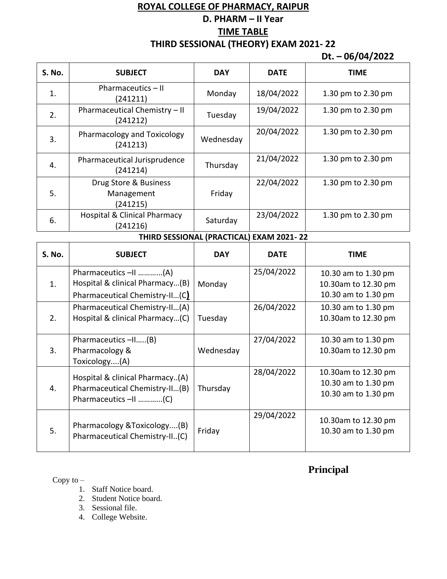## **ROYAL COLLEGE OF PHARMACY, RAIPUR D. PHARM – II Year TIME TABLE THIRD SESSIONAL (THEORY) EXAM 2021- 22**

**Dt. – 06/04/2022**

| S. No.                                   | <b>SUBJECT</b>                                                                                      | <b>DAY</b> | <b>DATE</b> | <b>TIME</b>                                                       |  |  |  |
|------------------------------------------|-----------------------------------------------------------------------------------------------------|------------|-------------|-------------------------------------------------------------------|--|--|--|
| 1.                                       | Pharmaceutics - II<br>(241211)                                                                      | Monday     | 18/04/2022  | 1.30 pm to 2.30 pm                                                |  |  |  |
| 2.                                       | Pharmaceutical Chemistry - II<br>(241212)                                                           | Tuesday    | 19/04/2022  | 1.30 pm to 2.30 pm                                                |  |  |  |
| 3.                                       | Pharmacology and Toxicology<br>(241213)                                                             | Wednesday  | 20/04/2022  | 1.30 pm to 2.30 pm                                                |  |  |  |
| 4.                                       | Pharmaceutical Jurisprudence<br>(241214)                                                            | Thursday   | 21/04/2022  | 1.30 pm to 2.30 pm                                                |  |  |  |
| 5.                                       | Drug Store & Business<br>Management<br>(241215)                                                     | Friday     | 22/04/2022  | 1.30 pm to 2.30 pm                                                |  |  |  |
| 6.                                       | <b>Hospital &amp; Clinical Pharmacy</b><br>(241216)                                                 | Saturday   | 23/04/2022  | 1.30 pm to 2.30 pm                                                |  |  |  |
| THIRD SESSIONAL (PRACTICAL) EXAM 2021-22 |                                                                                                     |            |             |                                                                   |  |  |  |
| S. No.                                   | <b>SUBJECT</b>                                                                                      | <b>DAY</b> | <b>DATE</b> | <b>TIME</b>                                                       |  |  |  |
| 1.                                       | Pharmaceutics -II (A)<br>Hospital & clinical Pharmacy(B)<br>Pharmaceutical Chemistry-II(C)          | Monday     | 25/04/2022  | 10.30 am to 1.30 pm<br>10.30am to 12.30 pm<br>10.30 am to 1.30 pm |  |  |  |
| 2.                                       | Pharmaceutical Chemistry-II(A)<br>Hospital & clinical Pharmacy(C)                                   | Tuesday    | 26/04/2022  | 10.30 am to 1.30 pm<br>10.30am to 12.30 pm                        |  |  |  |
| 3.                                       | Pharmaceutics -II(B)<br>Pharmacology &<br>Toxicology(A)                                             | Wednesday  | 27/04/2022  | 10.30 am to 1.30 pm<br>10.30am to 12.30 pm                        |  |  |  |
| 4.                                       | Hospital & clinical Pharmacy(A)<br>Pharmaceutical Chemistry-II(B) Thursday<br>Pharmaceutics -II (C) |            | 28/04/2022  | 10.30am to 12.30 pm<br>10.30 am to 1.30 pm<br>10.30 am to 1.30 pm |  |  |  |
| 5.                                       | Pharmacology & Toxicology(B)<br>Pharmaceutical Chemistry-II(C)                                      | Friday     | 29/04/2022  | 10.30am to 12.30 pm<br>10.30 am to 1.30 pm                        |  |  |  |

**Principal**

Copy to –

1. Staff Notice board.

2. Student Notice board.

3. Sessional file.

4. College Website.